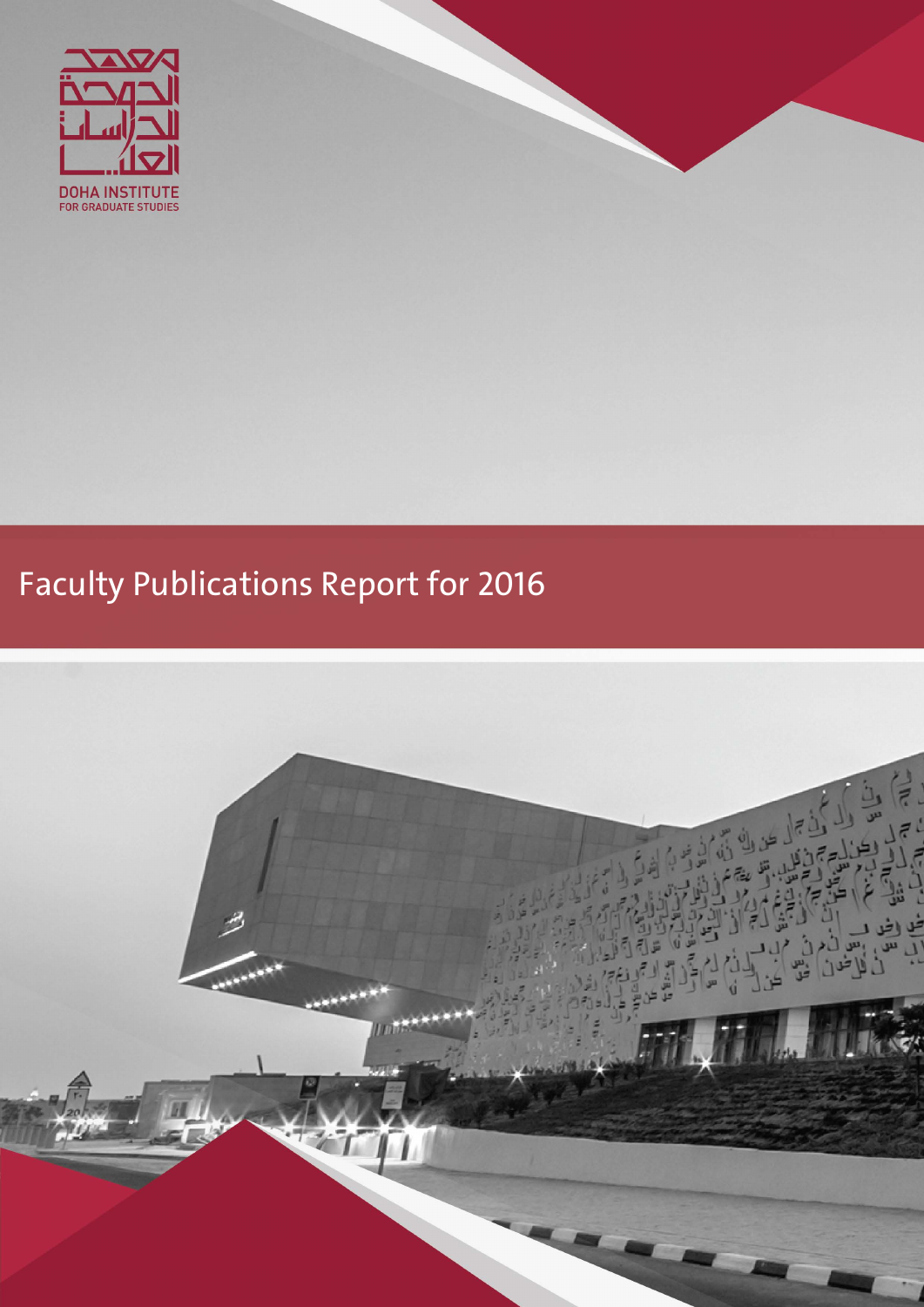

# Faculty Publications Report for 2016

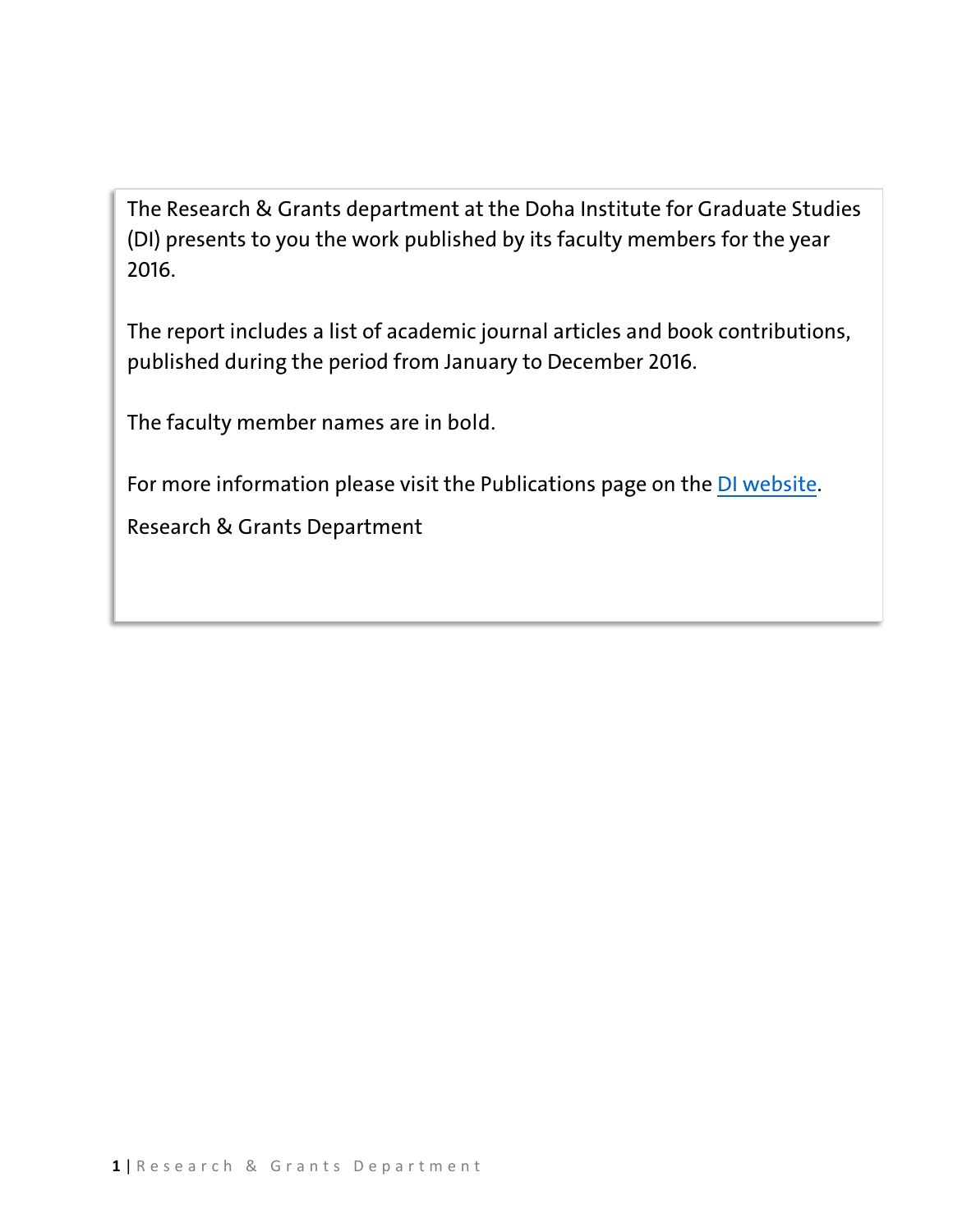The Research & Grants department at the Doha Institute for Graduate Studies (DI) presents to you the work published by its faculty members for the year 2016.

The report includes a list of academic journal articles and book contributions, published during the period from January to December 2016.

The faculty member names are in bold.

For more information please visit the Publications page on the [DI website.](https://www.dohainstitute.edu.qa/EN/Research/Pages/research-news-and-reports.aspx)

Research & Grants Department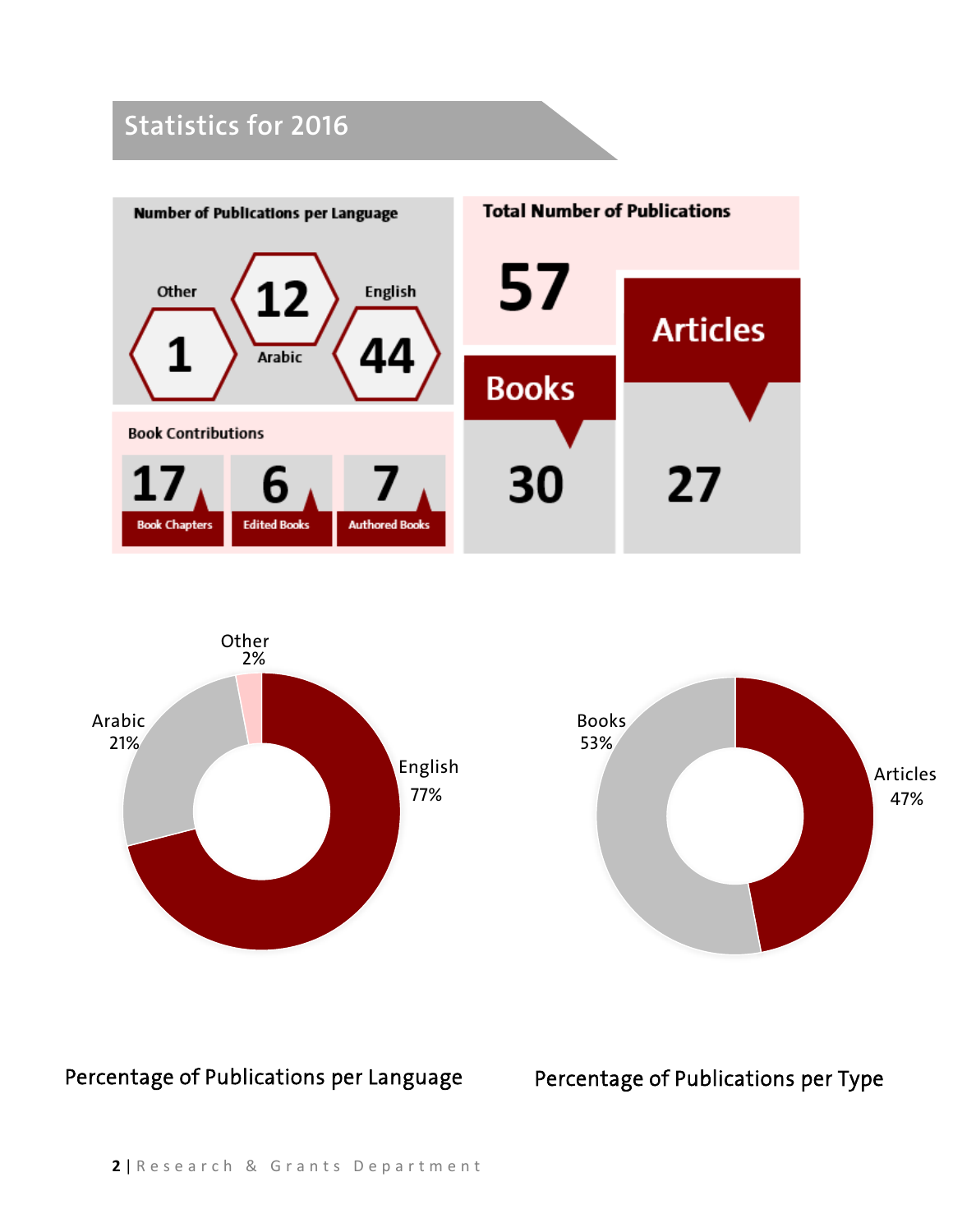## **Statistics for 2016**







Percentage of Publications per Language Percentage of Publications per Type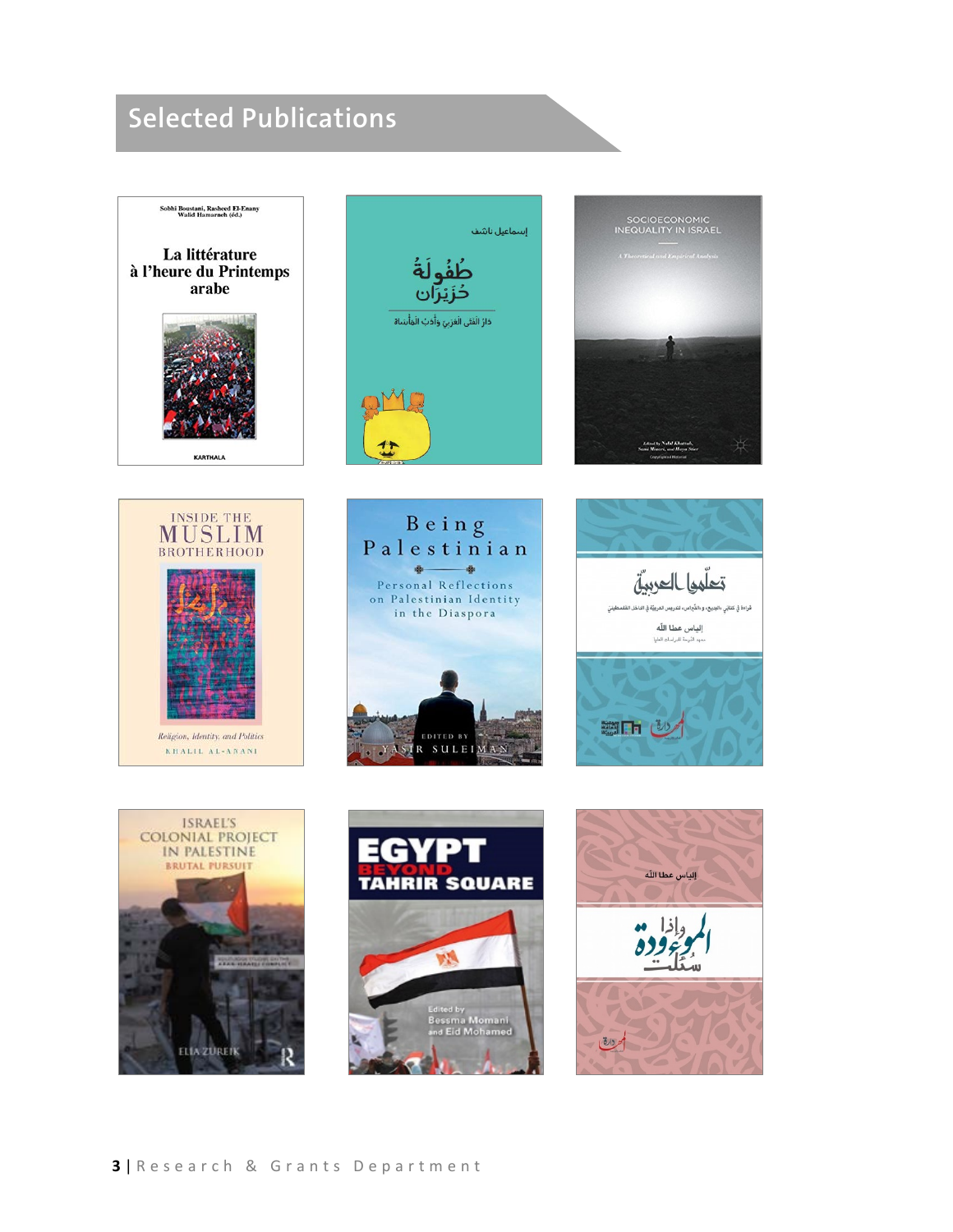# **Selected Publications**

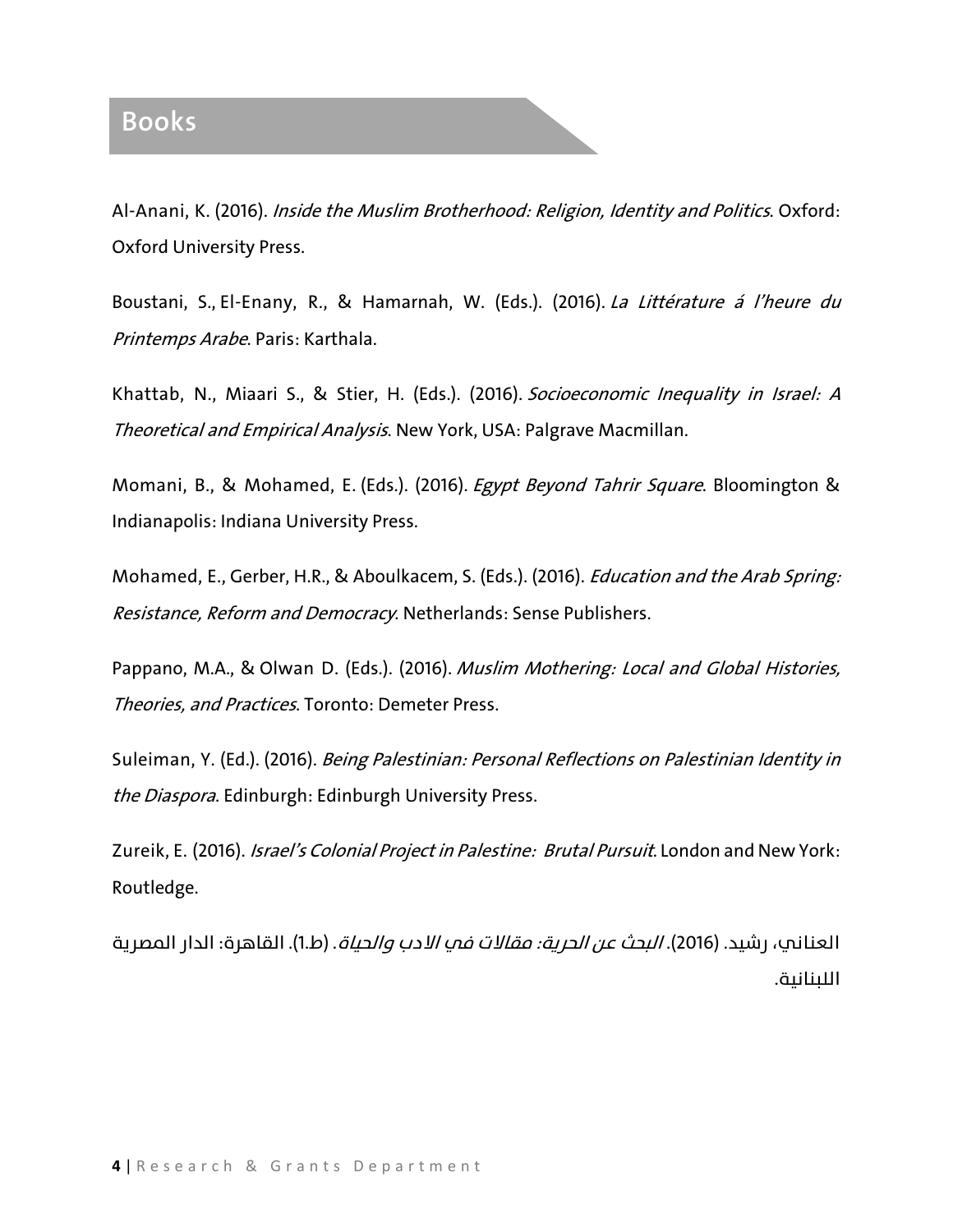#### **Books**

Al-Anani, K. (2016). Inside the Muslim Brotherhood: Religion, Identity and Politics. Oxford: Oxford University Press.

Boustani, S., El-Enany, R., & Hamarnah, W. (Eds.). (2016). La Littérature á l'heure du Printemps Arabe. Paris: Karthala.

Khattab, N., Miaari S., & Stier, H. (Eds.). (2016). Socioeconomic Inequality in Israel: A Theoretical and Empirical Analysis. New York, USA: Palgrave Macmillan.

Momani, B., & Mohamed, E. (Eds.). (2016). Egypt Beyond Tahrir Square. Bloomington & Indianapolis: Indiana University Press.

Mohamed, E., Gerber, H.R., & Aboulkacem, S. (Eds.). (2016). *Education and the Arab Spring:* Resistance, Reform and Democracy. Netherlands: Sense Publishers.

Pappano, M.A., & Olwan D. (Eds.). (2016). Muslim Mothering: Local and Global Histories, Theories, and Practices. Toronto: Demeter Press.

Suleiman, Y. (Ed.). (2016). Being Palestinian: Personal Reflections on Palestinian Identity in the Diaspora. Edinburgh: Edinburgh University Press.

Zureik, E. (2016). Israel's Colonial Project in Palestine: Brutal Pursuit. London and New York: Routledge.

العناني، رشيد. (2016). *البحث عن الحرية: مقالات في الادب والحياة*. (ط1.). القاهرة: الدار المصرية اللبنانية.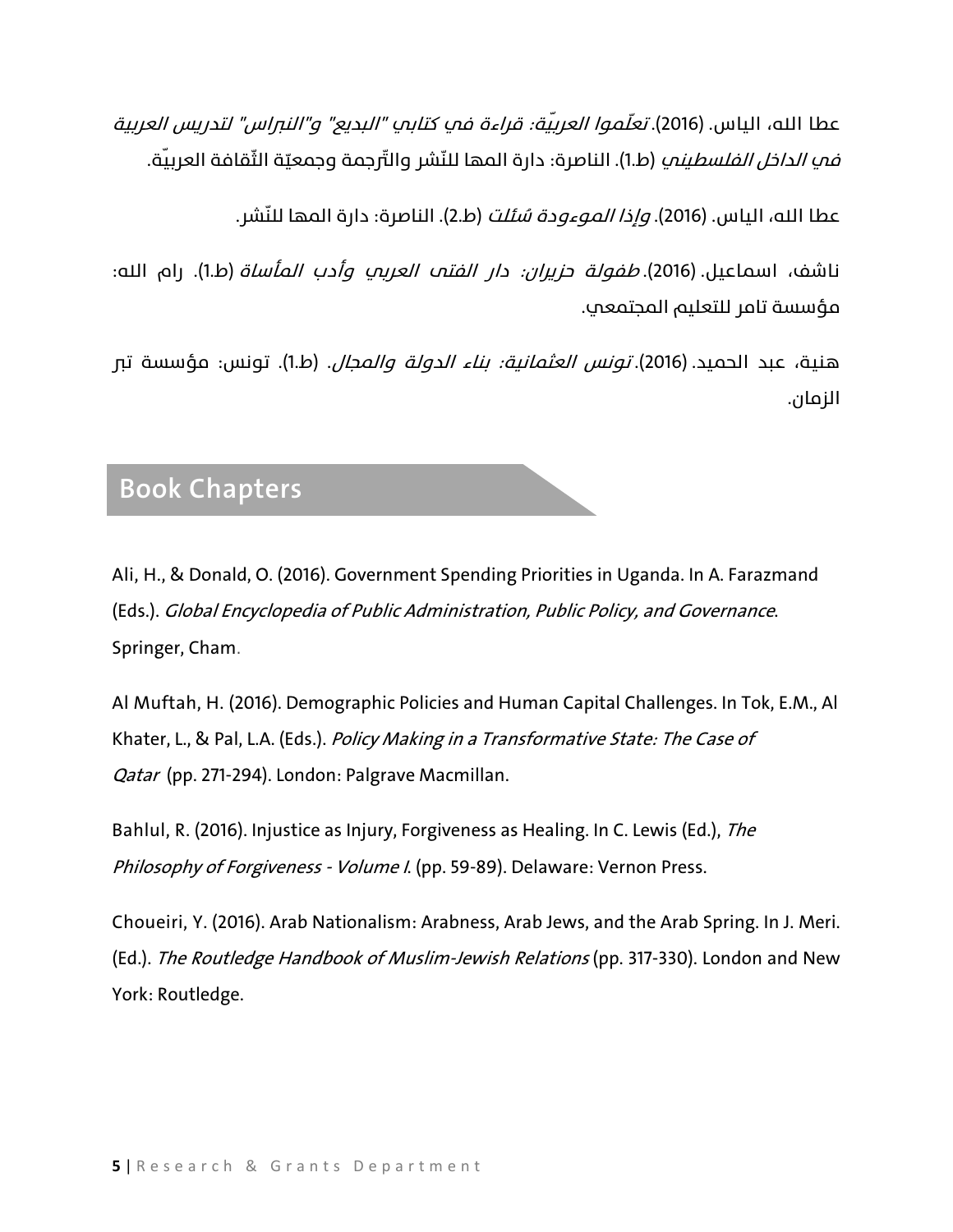عطا الله، الياس. (2016). *تعلّموا العربيّة: قراءة في كتابي "البديع" و"النبراس" لتدريس العربية* ف*ي الداخل الفلسطيني* (ط.1). الناصرة: دارة المها للنّشر والتّرجمة وجمعيّة الثّقافة العربيّة.

عطا الله، الياس. (2016). *وإذا الموءودة سُئلت* (ط.2). الناصرة: دارة المها للنّشر.

ناشف، اسماعيل. (2016). *طفولة حزيران: دار الفتم العربي وأدب المأساة* (ط.1). رام الله: مؤسسة تامر للتعليم المجتمعي.

هنية، عبد الحميد. (2016). تونس العثمانية: بناء الدولة والمجال. (ط1.). تونس: مؤسسة تبر الزمان.

#### **Book Chapters**

Ali, H., & Donald, O. (2016). Government Spending Priorities in Uganda. In A. Farazmand (Eds.). Global Encyclopedia of Public Administration, Public Policy, and Governance. Springer, Cham.

Al Muftah, H. (2016). Demographic Policies and Human Capital Challenges. In Tok, E.M., Al Khater, L., & Pal, L.A. (Eds.). Policy Making in a Transformative State: The Case of Qatar (pp. 271-294). London: Palgrave Macmillan.

Bahlul, R. (2016). Injustice as Injury, Forgiveness as Healing. In C. Lewis (Ed.), The Philosophy of Forgiveness - Volume I. (pp. 59-89). Delaware: Vernon Press.

Choueiri, Y. (2016). Arab Nationalism: Arabness, Arab Jews, and the Arab Spring. In J. Meri. (Ed.). The Routledge Handbook of Muslim-Jewish Relations (pp. 317-330). London and New York: Routledge.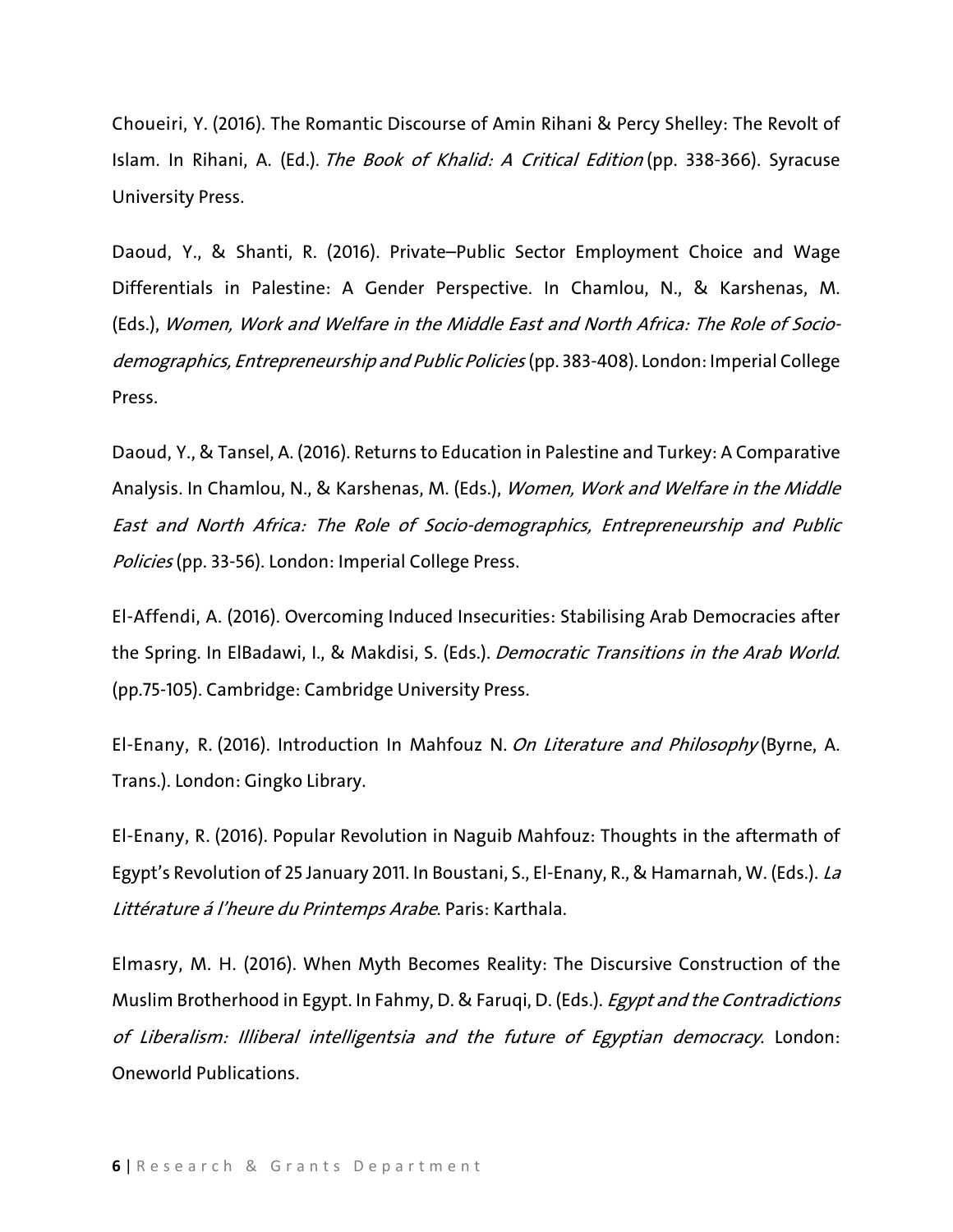Choueiri, Y. (2016). The Romantic Discourse of Amin Rihani & Percy Shelley: The Revolt of Islam. In Rihani, A. (Ed.). The Book of Khalid: A Critical Edition (pp. 338-366). Syracuse University Press.

Daoud, Y., & Shanti, R. (2016). Private–Public Sector Employment Choice and Wage Differentials in Palestine: A Gender Perspective. In Chamlou, N., & Karshenas, M. (Eds.), Women, Work and Welfare in the Middle East and North Africa: The Role of Sociodemographics, Entrepreneurship and Public Policies (pp. 383-408). London: Imperial College Press.

Daoud, Y., & Tansel, A. (2016). Returns to Education in Palestine and Turkey: A Comparative Analysis. In Chamlou, N., & Karshenas, M. (Eds.), Women, Work and Welfare in the Middle East and North Africa: The Role of Socio-demographics, Entrepreneurship and Public Policies (pp. 33-56). London: Imperial College Press.

El-Affendi, A. (2016). Overcoming Induced Insecurities: Stabilising Arab Democracies after the Spring. In ElBadawi, I., & Makdisi, S. (Eds.). Democratic Transitions in the Arab World. (pp.75-105). Cambridge: Cambridge University Press.

El-Enany, R. (2016). Introduction In Mahfouz N. On Literature and Philosophy (Byrne, A. Trans.). London: Gingko Library.

El-Enany, R. (2016). Popular Revolution in Naguib Mahfouz: Thoughts in the aftermath of Egypt's Revolution of 25 January 2011. In Boustani, S., El-Enany, R., & Hamarnah, W. (Eds.). La Littérature á l'heure du Printemps Arabe. Paris: Karthala.

Elmasry, M. H. (2016). When Myth Becomes Reality: The Discursive Construction of the Muslim Brotherhood in Egypt. In Fahmy, D. & Faruqi, D. (Eds.). Egypt and the Contradictions of Liberalism: Illiberal intelligentsia and the future of Egyptian democracy. London: Oneworld Publications.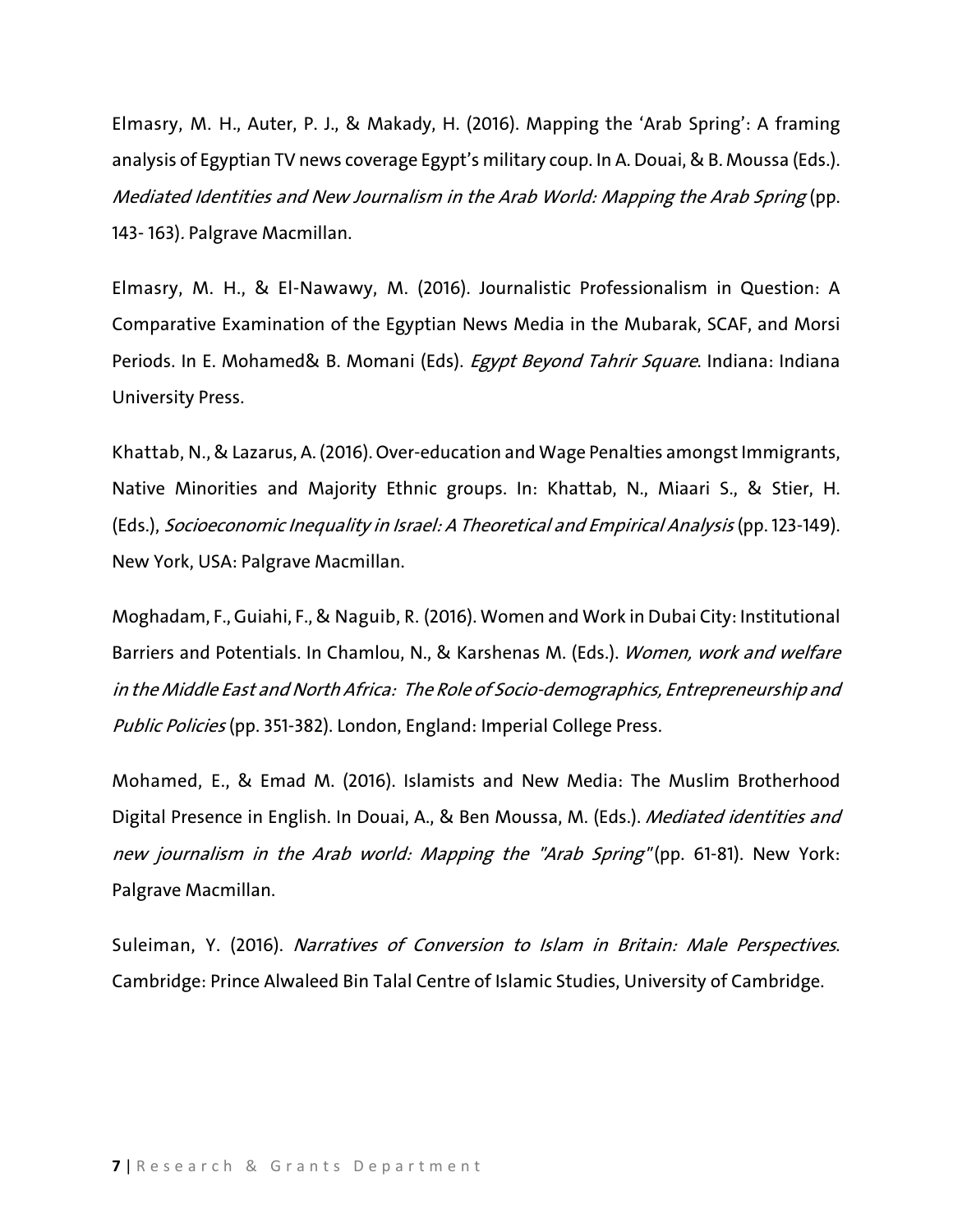Elmasry, M. H., Auter, P. J., & Makady, H. (2016). Mapping the 'Arab Spring': A framing analysis of Egyptian TV news coverage Egypt's military coup. In A. Douai, & B. Moussa (Eds.). Mediated Identities and New Journalism in the Arab World: Mapping the Arab Spring (pp. 143- 163). Palgrave Macmillan.

Elmasry, M. H., & El-Nawawy, M. (2016). Journalistic Professionalism in Question: A Comparative Examination of the Egyptian News Media in the Mubarak, SCAF, and Morsi Periods. In E. Mohamed& B. Momani (Eds). Egypt Beyond Tahrir Square. Indiana: Indiana University Press.

Khattab, N., & Lazarus, A. (2016). Over-education and Wage Penalties amongst Immigrants, Native Minorities and Majority Ethnic groups. In: Khattab, N., Miaari S., & Stier, H. (Eds.), Socioeconomic Inequality in Israel: <sup>A</sup> Theoretical and Empirical Analysis (pp. 123-149). New York, USA: Palgrave Macmillan.

Moghadam, F., Guiahi, F., & Naguib, R. (2016). Women and Work in Dubai City: Institutional Barriers and Potentials. In Chamlou, N., & Karshenas M. (Eds.). Women, work and welfare in the Middle East and North Africa: The Role of Socio-demographics, Entrepreneurship and Public Policies (pp. 351-382). London, England: Imperial College Press.

Mohamed, E., & Emad M. (2016). Islamists and New Media: The Muslim Brotherhood Digital Presence in English. In Douai, A., & Ben Moussa, M. (Eds.). *Mediated identities and* new journalism in the Arab world: Mapping the "Arab Spring" (pp. 61-81). New York: Palgrave Macmillan.

Suleiman, Y. (2016). Narratives of Conversion to Islam in Britain: Male Perspectives. Cambridge: Prince Alwaleed Bin Talal Centre of Islamic Studies, University of Cambridge.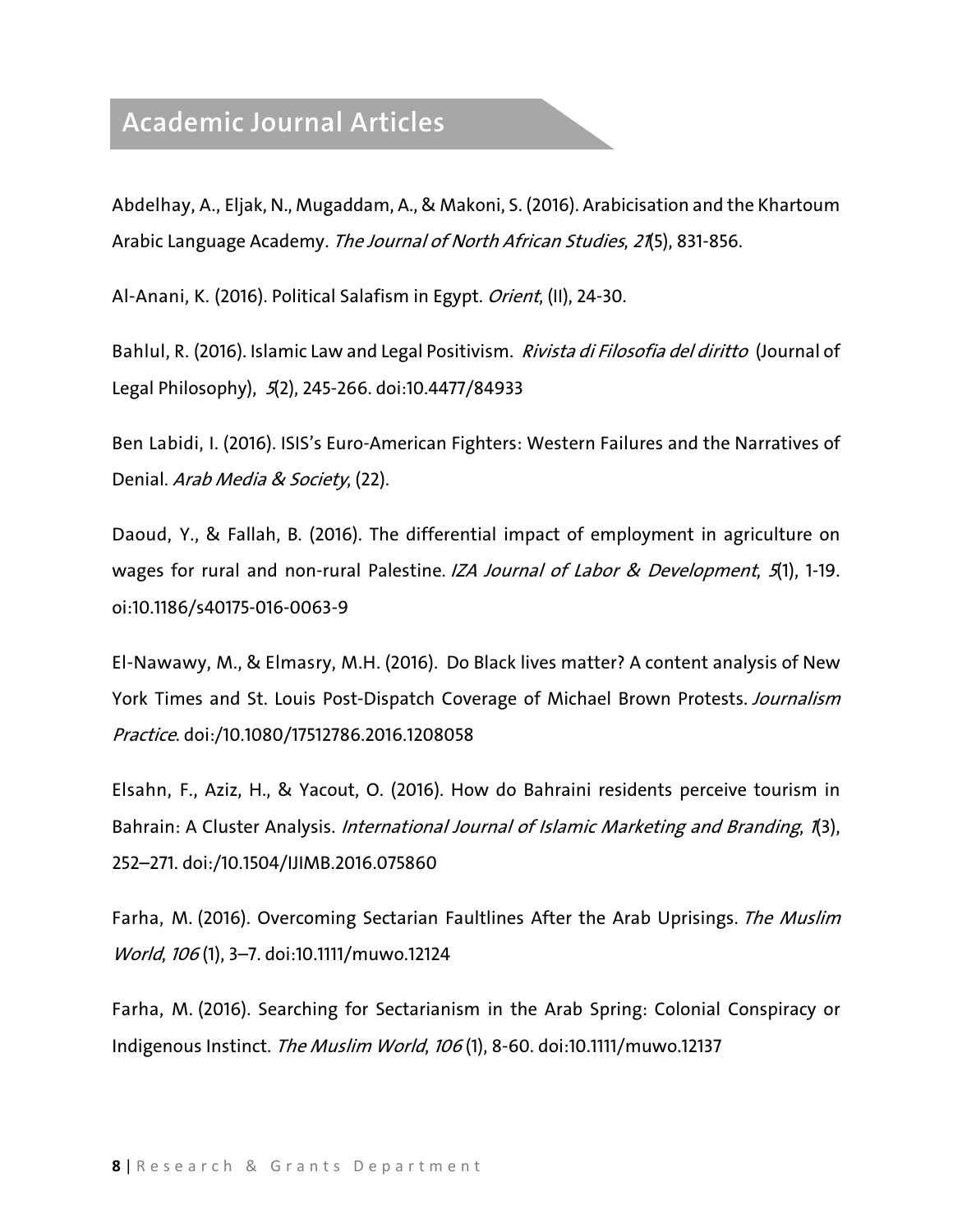## **Academic Journal Articles**

Abdelhay, A., Eljak, N., Mugaddam, A., & Makoni, S. (2016). Arabicisation and the Khartoum Arabic Language Academy. The Journal of North African Studies, 21(5), 831-856.

Al-Anani, K. (2016). Political Salafism in Egypt. *Orient*, (II), 24-30.

Bahlul, R. (2016). Islamic Law and Legal Positivism. *Rivista di Filosofia del diritto* (Journal of Legal Philosophy), 5(2), 245-266. doi:10.4477/84933

Ben Labidi, I. (2016). ISIS's Euro-American Fighters: Western Failures and the Narratives of Denial. Arab Media & Society, (22).

Daoud, Y., & Fallah, B. (2016). The differential impact of employment in agriculture on wages for rural and non-rural Palestine. IZA Journal of Labor & Development, 5(1), 1-19. oi:10.1186/s40175-016-0063-9

El-Nawawy, M., & Elmasry, M.H. (2016). Do Black lives matter? A content analysis of New York Times and St. Louis Post-Dispatch Coverage of Michael Brown Protests. Journalism Practice. doi:/10.1080/17512786.2016.1208058

Elsahn, F., Aziz, H., & Yacout, O. (2016). How do Bahraini residents perceive tourism in Bahrain: A Cluster Analysis. International Journal of Islamic Marketing and Branding, 1(3), 252–271. doi:/10.1504/IJIMB.2016.075860

Farha, M. (2016). Overcoming Sectarian Faultlines After the Arab Uprisings. The Muslim World, <sup>106</sup> (1), 3–7. doi:10.1111/muwo.12124

Farha, M. (2016). Searching for Sectarianism in the Arab Spring: Colonial Conspiracy or Indigenous Instinct. The Muslim World, 106 (1), 8-60. doi:10.1111/muwo.12137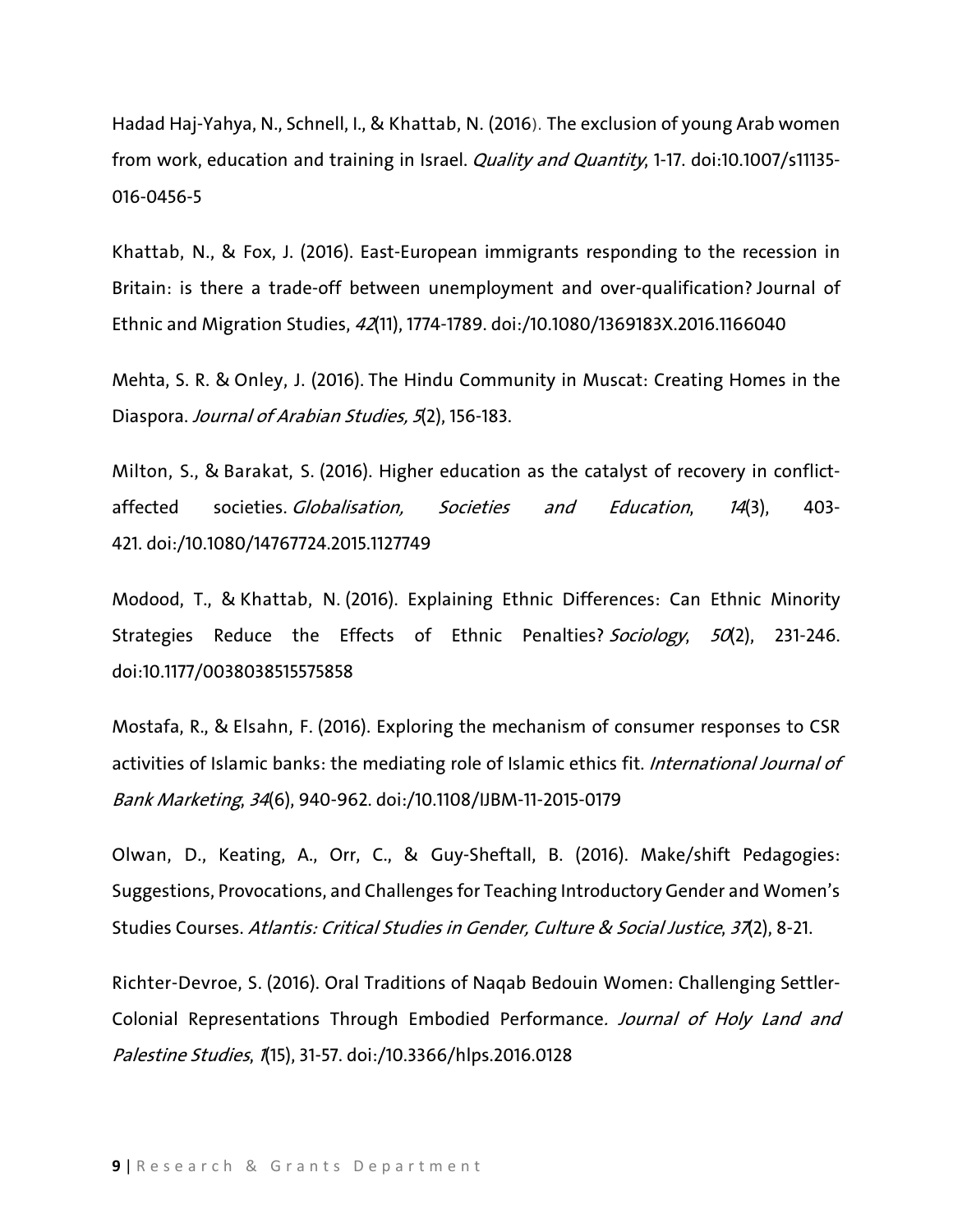Hadad Haj-Yahya, N., Schnell, I., & Khattab, N. (2016). The exclusion of young Arab women from work, education and training in Israel. *Quality and Quantity*, 1-17. doi:10.1007/s11135-016-0456-5

Khattab, N., & Fox, J. (2016). East-European immigrants responding to the recession in Britain: is there a trade-off between unemployment and over-qualification? Journal of Ethnic and Migration Studies, 42(11), 1774-1789. doi:/10.1080/1369183X.2016.1166040

Mehta, S. R. & Onley, J. (2016). The Hindu Community in Muscat: Creating Homes in the Diaspora. Journal of Arabian Studies, 5(2), 156-183.

Milton, S., & Barakat, S. (2016). Higher education as the catalyst of recovery in conflictaffected societies. Globalisation, Societies and Education, 14(3), 403-421. doi:/10.1080/14767724.2015.1127749

Modood, T., & Khattab, N. (2016). Explaining Ethnic Differences: Can Ethnic Minority Strategies Reduce the Effects of Ethnic Penalties? Sociology, 50(2), 231-246. doi:10.1177/0038038515575858

Mostafa, R., & Elsahn, F. (2016). Exploring the mechanism of consumer responses to CSR activities of Islamic banks: the mediating role of Islamic ethics fit. International Journal of Bank Marketing, 34(6), 940-962. doi:/10.1108/IJBM-11-2015-0179

Olwan, D., Keating, A., Orr, C., & Guy-Sheftall, B. (2016). Make/shift Pedagogies: Suggestions, Provocations, and Challenges for Teaching Introductory Gender and Women's Studies Courses. Atlantis: Critical Studies in Gender, Culture & Social Justice, 37(2), 8-21.

Richter-Devroe, S. (2016). Oral Traditions of Naqab Bedouin Women: Challenging Settler-Colonial Representations Through Embodied Performance. Journal of Holy Land and Palestine Studies, 1(15), 31-57. doi:/10.3366/hlps.2016.0128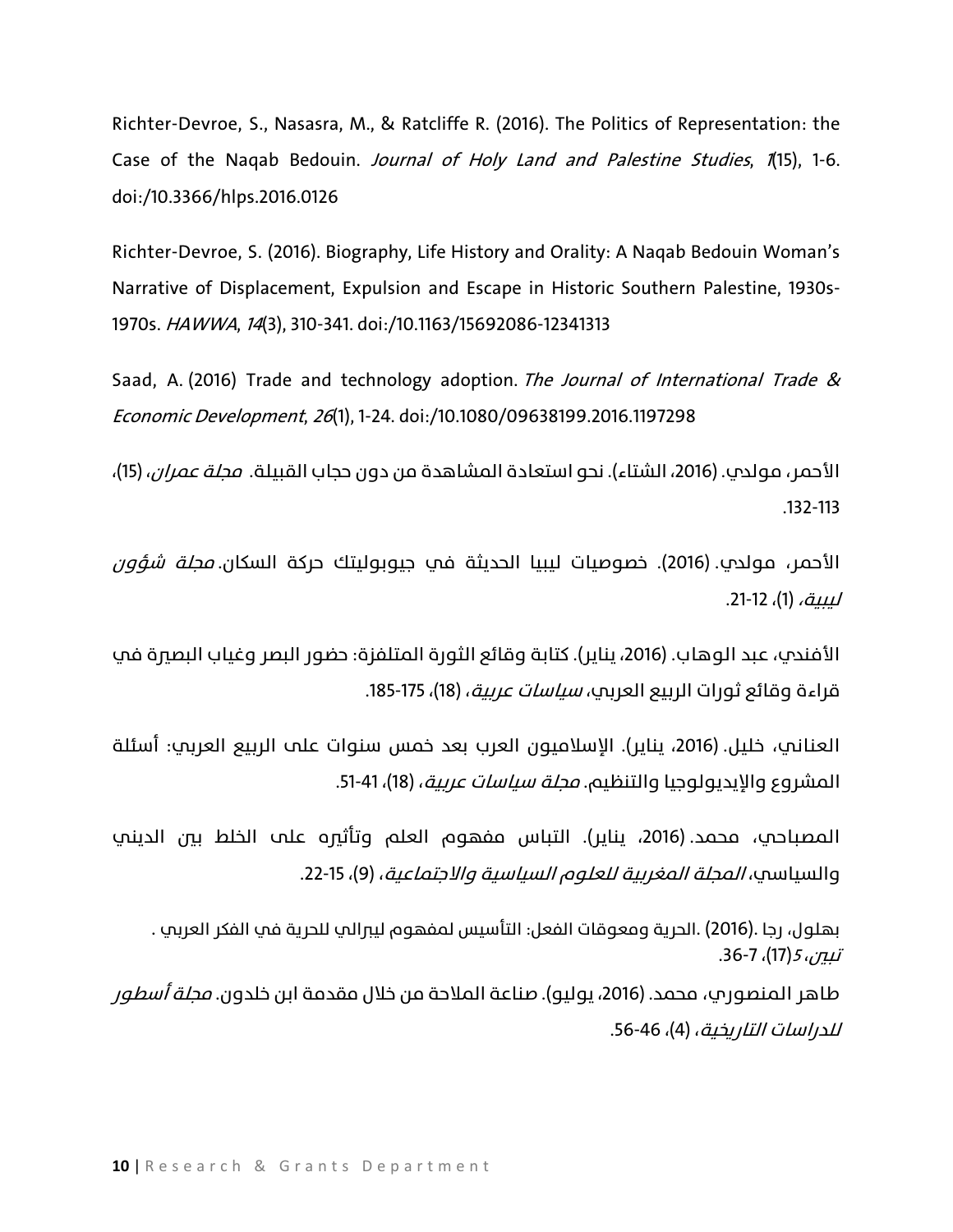Richter-Devroe, S., Nasasra, M., & Ratcliffe R. (2016). The Politics of Representation: the Case of the Naqab Bedouin. Journal of Holy Land and Palestine Studies, 1(15), 1-6. doi:/10.3366/hlps.2016.0126

Richter-Devroe, S. (2016). Biography, Life History and Orality: A Naqab Bedouin Woman's Narrative of Displacement, Expulsion and Escape in Historic Southern Palestine, 1930s-1970s. HAWWA, 14(3), 310-341. doi:/10.1163/15692086-12341313

Saad, A. (2016) Trade and technology adoption. The Journal of International Trade & Economic Development, 26(1), 1-24. doi:/10.1080/09638199.2016.1197298

الأحمر، مولدم. (2016، الشتاء). نحو استعادة المشاهدة من دون حجاب القبيلة. *مجلة عمران*، (15)، .132-113

الأحمر، مولدي. (2016). خصوصيات ليبيا الحديثة في جيوبوليتك حركة السكان. *مجلة شؤون* لسبة، (1)، 12-21.

الأفندي، عبد الوهاب. (2016، يناير). كتابة وقائع الثورة المتلفزة: حضور البصر وغياب البصرة في قراءة وقائع ثورات الربيع العربي، *سياسات عربية*، (18)، 175-185.

العناني، خليل. (2016، يناير). الإسلاميون العرب بعد خمس سنوات على الربيع العريب: أسئلة المشروع والإيديولوجيا والتنظيم. *مجلة سياسات عربية*، (18)، 41-51.

المصباحي، محمد. (2016، يناير). التباس مفهوم العلم وتأثيره على الخلط بين الديني والسياسي، *المجلة المغربية للعلوم السياسية والاجتماعية*، (9)، 15-22.

. بهلول، رجا .(2016) .الحرية ومعوقات الفعل: التأسيس لمفهوم ليبرالي للحرية في الفكر العربي . تبين، 5 (17)، 7-36.

طاهر المنصوري، محمد. (2016، يوليو). صناعة الملاحة من خلال مقدمة ابن خلدون. *محلة أسطور للدراسات التاريخية*، (4)، 56-46.